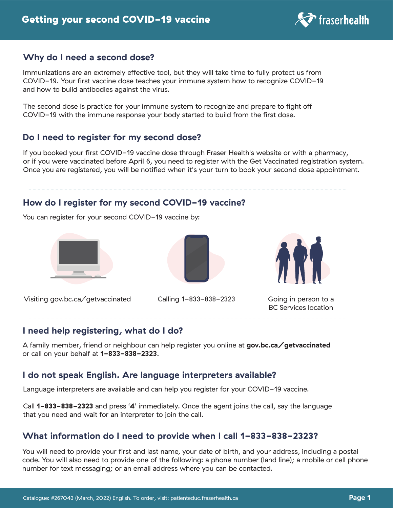

#### **Why do I need a second dose?**

Immunizations are an extremely effective tool, but they will take time to fully protect us from COVID-19. Your first vaccine dose teaches your immune system how to recognize COVID-19 and how to build antibodies against the virus.

The second dose is practice for your immune system to recognize and prepare to fight off COVID-19 with the immune response your body started to build from the first dose.

## **Do I need to register for my second dose?**

If you booked your first COVID-19 vaccine dose through Fraser Health's website or with a pharmacy, or if you were vaccinated before April 6, you need to register with the Get Vaccinated registration system. Once you are registered, you will be notified when it's your turn to book your second dose appointment.

## **How do I register for my second COVID-19 vaccine?**

You can register for your second COVID-19 vaccine by:



Visiting gov.bc.ca/getvaccinated Calling 1-833-838-2323





Going in person to a BC Services location

#### **I need help registering, what do I do?**

A family member, friend or neighbour can help register you online at **gov.bc.ca/getvaccinated**  or call on your behalf at **1-833-838-2323**.

## **I do not speak English. Are language interpreters available?**

Language interpreters are available and can help you register for your COVID-19 vaccine.

Call **1-833-838-2323** and press '**4**' immediately. Once the agent joins the call, say the language that you need and wait for an interpreter to join the call.

# **What information do I need to provide when I call 1-833-838-2323?**

You will need to provide your first and last name, your date of birth, and your address, including a postal code. You will also need to provide one of the following: a phone number (land line); a mobile or cell phone number for text messaging; or an email address where you can be contacted.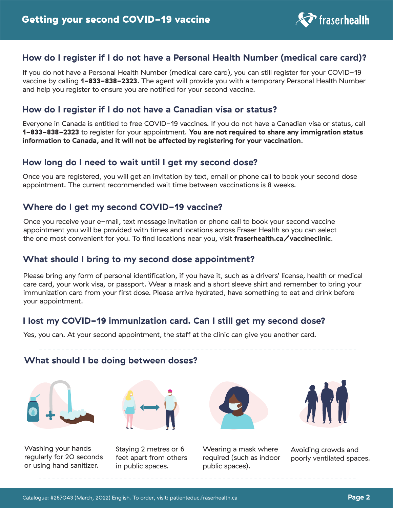

# **How do I register if I do not have a Personal Health Number (medical care card)?**

If you do not have a Personal Health Number (medical care card), you can still register for your COVID-19 vaccine by calling **1-833-838-2323**. The agent will provide you with a temporary Personal Health Number and help you register to ensure you are notified for your second vaccine.

#### **How do I register if I do not have a Canadian visa or status?**

Everyone in Canada is entitled to free COVID-19 vaccines. If you do not have a Canadian visa or status, call **1-833-838-2323** to register for your appointment. **You are not required to share any immigration status information to Canada, and it will not be affected by registering for your vaccination**.

#### **How long do I need to wait until I get my second dose?**

Once you are registered, you will get an invitation by text, email or phone call to book your second dose appointment. The current recommended wait time between vaccinations is 8 weeks.

## **Where do I get my second COVID-19 vaccine?**

Once you receive your e-mail, text message invitation or phone call to book your second vaccine appointment you will be provided with times and locations across Fraser Health so you can select the one most convenient for you. To find locations near you, visit **fraserhealth.ca/vaccineclinic**.

#### **What should I bring to my second dose appointment?**

Please bring any form of personal identification, if you have it, such as a drivers' license, health or medical care card, your work visa, or passport. Wear a mask and a short sleeve shirt and remember to bring your immunization card from your first dose. Please arrive hydrated, have something to eat and drink before your appointment.

## **I lost my COVID-19 immunization card. Can I still get my second dose?**

Yes, you can. At your second appointment, the staff at the clinic can give you another card.

#### **What should I be doing between doses?**





Washing your hands regularly for 20 seconds or using hand sanitizer.

Staying 2 metres or 6 feet apart from others in public spaces.

Wearing a mask where required (such as indoor public spaces).



Avoiding crowds and poorly ventilated spaces.